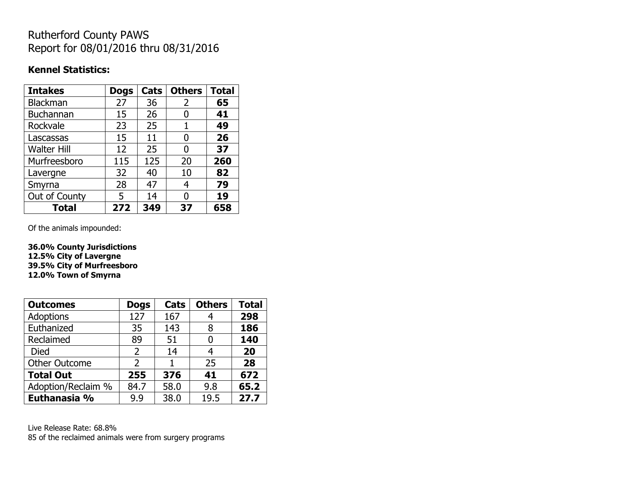## Rutherford County PAWS Report for 08/01/2016 thru 08/31/2016

#### **Kennel Statistics:**

| <b>Intakes</b>     | <b>Dogs</b> | Cats | <b>Others</b> | <b>Total</b> |
|--------------------|-------------|------|---------------|--------------|
| <b>Blackman</b>    | 27          | 36   | 2             | 65           |
| <b>Buchannan</b>   | 15          | 26   | 0             | 41           |
| Rockvale           | 23          | 25   | 1             | 49           |
| Lascassas          | 15          | 11   | 0             | 26           |
| <b>Walter Hill</b> | 12          | 25   | 0             | 37           |
| Murfreesboro       | 115         | 125  | 20            | 260          |
| Lavergne           | 32          | 40   | 10            | 82           |
| Smyrna             | 28          | 47   | 4             | 79           |
| Out of County      | 5           | 14   | 0             | 19           |
| Total              | 272         | 349  | 37            | 658          |

Of the animals impounded:

**36.0% County Jurisdictions 12.5% City of Lavergne 39.5% City of Murfreesboro 12.0% Town of Smyrna**

| <b>Outcomes</b>      | <b>Dogs</b>   | Cats | <b>Others</b> | <b>Total</b> |
|----------------------|---------------|------|---------------|--------------|
| Adoptions            | 127           | 167  |               | 298          |
| Euthanized           | 35            | 143  | 8             | 186          |
| Reclaimed            | 89            | 51   | 0             | 140          |
| <b>Died</b>          | $\mathcal{P}$ | 14   | 4             | 20           |
| <b>Other Outcome</b> | C             |      | 25            | 28           |
| <b>Total Out</b>     | 255           | 376  | 41            | 672          |
| Adoption/Reclaim %   | 84.7          | 58.0 | 9.8           | 65.2         |
| Euthanasia %         | 9.9           | 38.0 | 19.5          | 27.7         |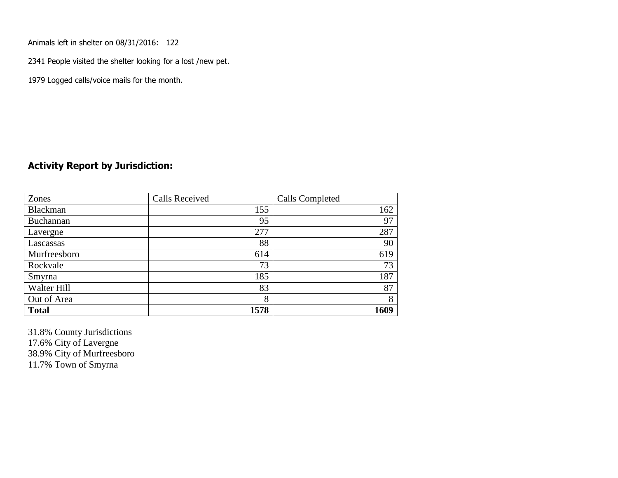Animals left in shelter on 08/31/2016: 122

2341 People visited the shelter looking for a lost /new pet.

1979 Logged calls/voice mails for the month.

#### **Activity Report by Jurisdiction:**

| Zones           | <b>Calls Received</b> | Calls Completed |
|-----------------|-----------------------|-----------------|
| <b>Blackman</b> | 155                   | 162             |
| Buchannan       | 95                    | 97              |
| Lavergne        | 277                   | 287             |
| Lascassas       | 88                    | 90              |
| Murfreesboro    | 614                   | 619             |
| Rockvale        | 73                    | 73              |
| Smyrna          | 185                   | 187             |
| Walter Hill     | 83                    | 87              |
| Out of Area     | 8                     | 8               |
| <b>Total</b>    | 1578                  | 1609            |

31.8% County Jurisdictions 17.6% City of Lavergne 38.9% City of Murfreesboro 11.7% Town of Smyrna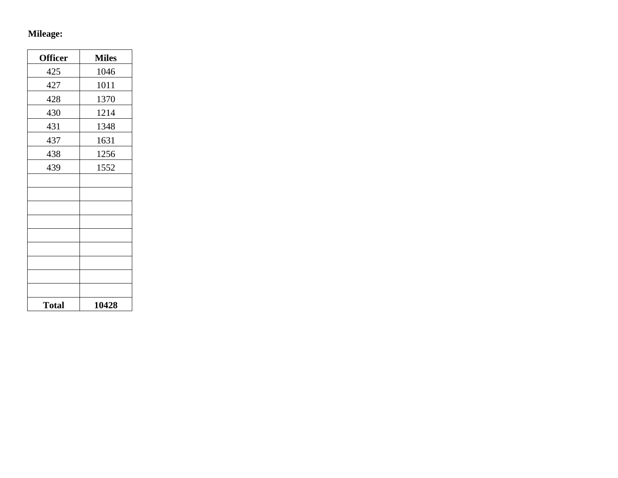# **Mileage:**

| <b>Officer</b> | <b>Miles</b> |
|----------------|--------------|
| 425            | 1046         |
| 427            | 1011         |
| 428            | 1370         |
| 430            | 1214         |
| 431            | 1348         |
| 437            | 1631         |
| 438            | 1256         |
| 439            | 1552         |
|                |              |
|                |              |
|                |              |
|                |              |
|                |              |
|                |              |
|                |              |
|                |              |
|                |              |
| <b>Total</b>   | 10428        |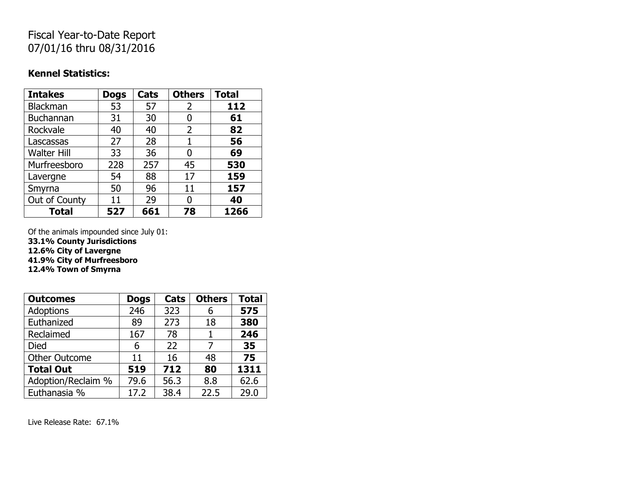## Fiscal Year-to-Date Report 07/01/16 thru 08/31/2016

#### **Kennel Statistics:**

| <b>Intakes</b>     | <b>Dogs</b> | Cats | <b>Others</b>  | <b>Total</b> |
|--------------------|-------------|------|----------------|--------------|
| Blackman           | 53          | 57   | $\overline{2}$ | 112          |
| Buchannan          | 31          | 30   | 0              | 61           |
| Rockvale           | 40          | 40   | 2              | 82           |
| Lascassas          | 27          | 28   | 1              | 56           |
| <b>Walter Hill</b> | 33          | 36   | 0              | 69           |
| Murfreesboro       | 228         | 257  | 45             | 530          |
| Lavergne           | 54          | 88   | 17             | 159          |
| Smyrna             | 50          | 96   | 11             | 157          |
| Out of County      | 11          | 29   | O              | 40           |
| <b>Total</b>       | 527         | 661  | 78             | 1266         |

Of the animals impounded since July 01:

**33.1% County Jurisdictions**

**12.6% City of Lavergne**

**41.9% City of Murfreesboro**

**12.4% Town of Smyrna**

| <b>Outcomes</b>      | <b>Dogs</b> | Cats | <b>Others</b> | <b>Total</b> |
|----------------------|-------------|------|---------------|--------------|
| Adoptions            | 246         | 323  | 6             | 575          |
| Euthanized           | 89          | 273  | 18            | 380          |
| Reclaimed            | 167         | 78   |               | 246          |
| <b>Died</b>          | 6           | 22   |               | 35           |
| <b>Other Outcome</b> | 11          | 16   | 48            | 75           |
| <b>Total Out</b>     | 519         | 712  | 80            | 1311         |
| Adoption/Reclaim %   | 79.6        | 56.3 | 8.8           | 62.6         |
| Euthanasia %         | 17.2        | 38.4 | 22.5          | 29.0         |

Live Release Rate: 67.1%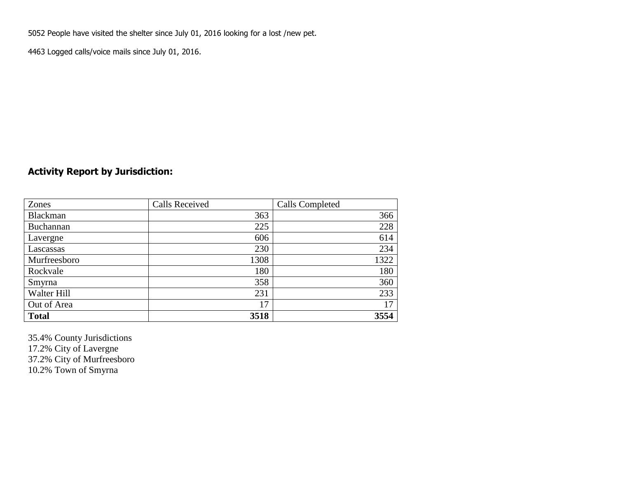5052 People have visited the shelter since July 01, 2016 looking for a lost /new pet.

4463 Logged calls/voice mails since July 01, 2016.

### **Activity Report by Jurisdiction:**

| Zones           | <b>Calls Received</b> | Calls Completed |
|-----------------|-----------------------|-----------------|
| <b>Blackman</b> | 363                   | 366             |
| Buchannan       | 225                   | 228             |
| Lavergne        | 606                   | 614             |
| Lascassas       | 230                   | 234             |
| Murfreesboro    | 1308                  | 1322            |
| Rockvale        | 180                   | 180             |
| Smyrna          | 358                   | 360             |
| Walter Hill     | 231                   | 233             |
| Out of Area     | 17                    | 17              |
| <b>Total</b>    | 3518                  | 3554            |

35.4% County Jurisdictions 17.2% City of Lavergne 37.2% City of Murfreesboro 10.2% Town of Smyrna